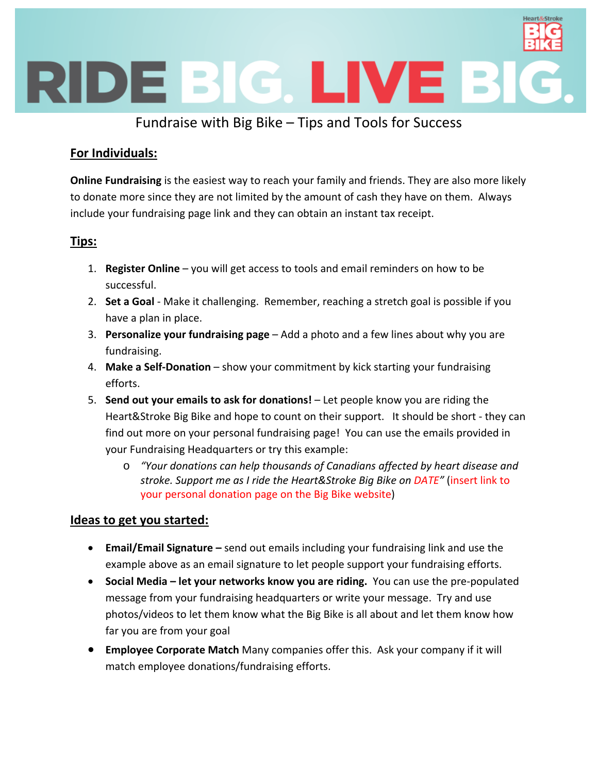

# Fundraise with Big Bike – Tips and Tools for Success

### **For Individuals:**

**Online Fundraising** is the easiest way to reach your family and friends. They are also more likely to donate more since they are not limited by the amount of cash they have on them. Always include your fundraising page link and they can obtain an instant tax receipt.

### **Tips:**

- 1. **Register Online** you will get access to tools and email reminders on how to be successful.
- 2. **Set a Goal** ‐ Make it challenging. Remember, reaching a stretch goal is possible if you have a plan in place.
- 3. **Personalize your fundraising page** Add a photo and a few lines about why you are fundraising.
- 4. **Make a Self‐Donation** show your commitment by kick starting your fundraising efforts.
- 5. **Send out your emails to ask for donations!** Let people know you are riding the Heart&Stroke Big Bike and hope to count on their support. It should be short - they can find out more on your personal fundraising page! You can use the emails provided in your Fundraising Headquarters or try this example:
	- o *"Your donations can help thousands of Canadians affected by heart disease and stroke. Support me as I ride the Heart&Stroke Big Bike on DATE"* (insert link to your personal donation page on the Big Bike website)

### **Ideas to get you started:**

- **Email/Email Signature –** send out emails including your fundraising link and use the example above as an email signature to let people support your fundraising efforts.
- **Social Media – let your networks know you are riding.** You can use the pre‐populated message from your fundraising headquarters or write your message. Try and use photos/videos to let them know what the Big Bike is all about and let them know how far you are from your goal
- **Employee Corporate Match** Many companies offer this. Ask your company if it will match employee donations/fundraising efforts.